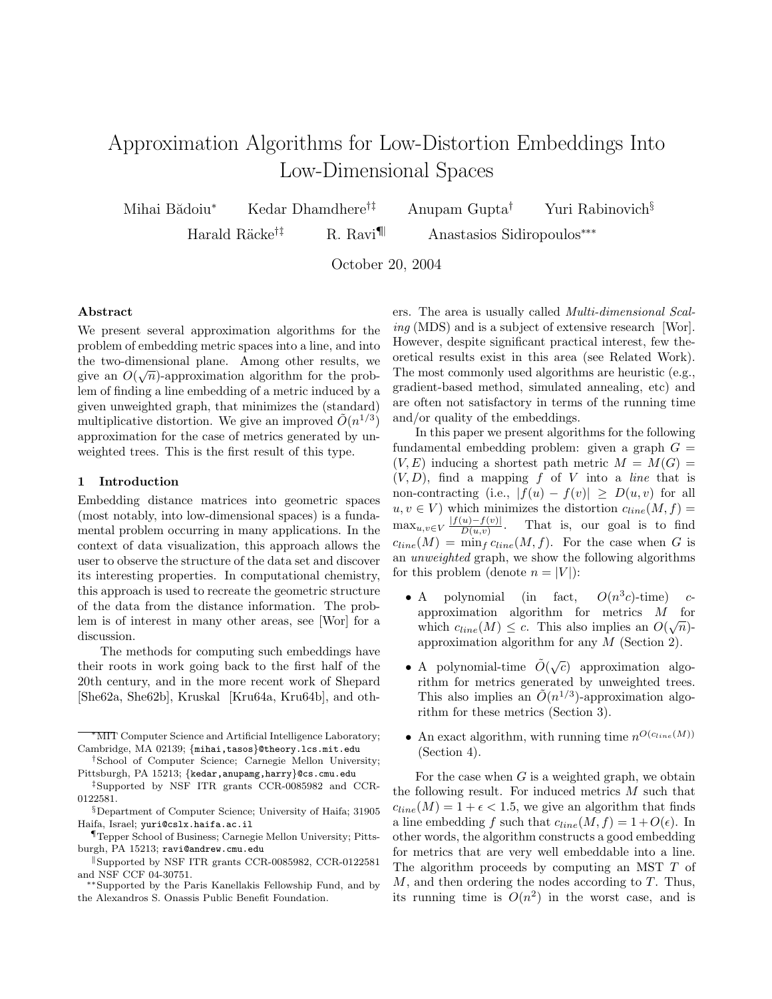# Approximation Algorithms for Low-Distortion Embeddings Into Low-Dimensional Spaces

Mihai Bădoiu<sup>∗</sup> Kedar Dhamdhere<sup>†‡</sup> Anupam Gupta<sup>†</sup> Yuri Rabinovich<sup>§</sup>

Harald Räcke<sup>†‡</sup> R. Ravi<sup>¶</sup> Anastasios Sidiropoulos<sup>∗∗∗</sup>

October 20, 2004

### Abstract

We present several approximation algorithms for the problem of embedding metric spaces into a line, and into the two-dimensional plane. Among other results, we give an  $O(\sqrt{n})$ -approximation algorithm for the problem of finding a line embedding of a metric induced by a given unweighted graph, that minimizes the (standard) multiplicative distortion. We give an improved  $\tilde{O}(n^{1/3})$ approximation for the case of metrics generated by unweighted trees. This is the first result of this type.

### 1 Introduction

Embedding distance matrices into geometric spaces (most notably, into low-dimensional spaces) is a fundamental problem occurring in many applications. In the context of data visualization, this approach allows the user to observe the structure of the data set and discover its interesting properties. In computational chemistry, this approach is used to recreate the geometric structure of the data from the distance information. The problem is of interest in many other areas, see [Wor] for a discussion.

The methods for computing such embeddings have their roots in work going back to the first half of the 20th century, and in the more recent work of Shepard [She62a, She62b], Kruskal [Kru64a, Kru64b], and oth-

‡Supported by NSF ITR grants CCR-0085982 and CCR-0122581.

ers. The area is usually called Multi-dimensional Scaling (MDS) and is a subject of extensive research [Wor]. However, despite significant practical interest, few theoretical results exist in this area (see Related Work). The most commonly used algorithms are heuristic (e.g., gradient-based method, simulated annealing, etc) and are often not satisfactory in terms of the running time and/or quality of the embeddings.

In this paper we present algorithms for the following fundamental embedding problem: given a graph  $G =$  $(V, E)$  inducing a shortest path metric  $M = M(G)$  $(V, D)$ , find a mapping f of V into a line that is non-contracting (i.e.,  $|f(u) - f(v)| \ge D(u, v)$  for all  $u, v \in V$ ) which minimizes the distortion  $c_{line}(M, f) =$  $\max_{u,v\in V} \frac{|f(u)-f(v)|}{D(u,v)}$  $D(u,v)$ . That is, our goal is to find  $c_{line}(M) = \min_f c_{line}(M, f)$ . For the case when G is an unweighted graph, we show the following algorithms for this problem (denote  $n = |V|$ ):

- $\bullet$  A polynomial (in fact,  $^3c$ )-time) capproximation algorithm for metrics  $M$  for which  $c_{line}(M) \leq c$ . This also implies an  $O(\sqrt{n})$ approximation algorithm for any M (Section 2).
- A polynomial-time  $\tilde{O}(\sqrt{c})$  approximation algorithm for metrics generated by unweighted trees. This also implies an  $\tilde{O}(n^{1/3})$ -approximation algorithm for these metrics (Section 3).
- An exact algorithm, with running time  $n^{O(c_{line}(M))}$ (Section 4).

For the case when  $G$  is a weighted graph, we obtain the following result. For induced metrics  $M$  such that  $c_{line}(M) = 1 + \epsilon < 1.5$ , we give an algorithm that finds a line embedding f such that  $c_{line}(M, f) = 1 + O(\epsilon)$ . In other words, the algorithm constructs a good embedding for metrics that are very well embeddable into a line. The algorithm proceeds by computing an MST T of  $M$ , and then ordering the nodes according to  $T$ . Thus, its running time is  $O(n^2)$  in the worst case, and is

<sup>∗</sup>MIT Computer Science and Artificial Intelligence Laboratory; Cambridge, MA 02139; {mihai,tasos}@theory.lcs.mit.edu

<sup>†</sup>School of Computer Science; Carnegie Mellon University; Pittsburgh, PA 15213; {kedar,anupamg,harry}@cs.cmu.edu

<sup>§</sup>Department of Computer Science; University of Haifa; 31905 Haifa, Israel; yuri@cslx.haifa.ac.il

<sup>¶</sup>Tepper School of Business; Carnegie Mellon University; Pittsburgh, PA 15213; ravi@andrew.cmu.edu

Supported by NSF ITR grants CCR-0085982, CCR-0122581 and NSF CCF 04-30751.

<sup>∗∗</sup>Supported by the Paris Kanellakis Fellowship Fund, and by the Alexandros S. Onassis Public Benefit Foundation.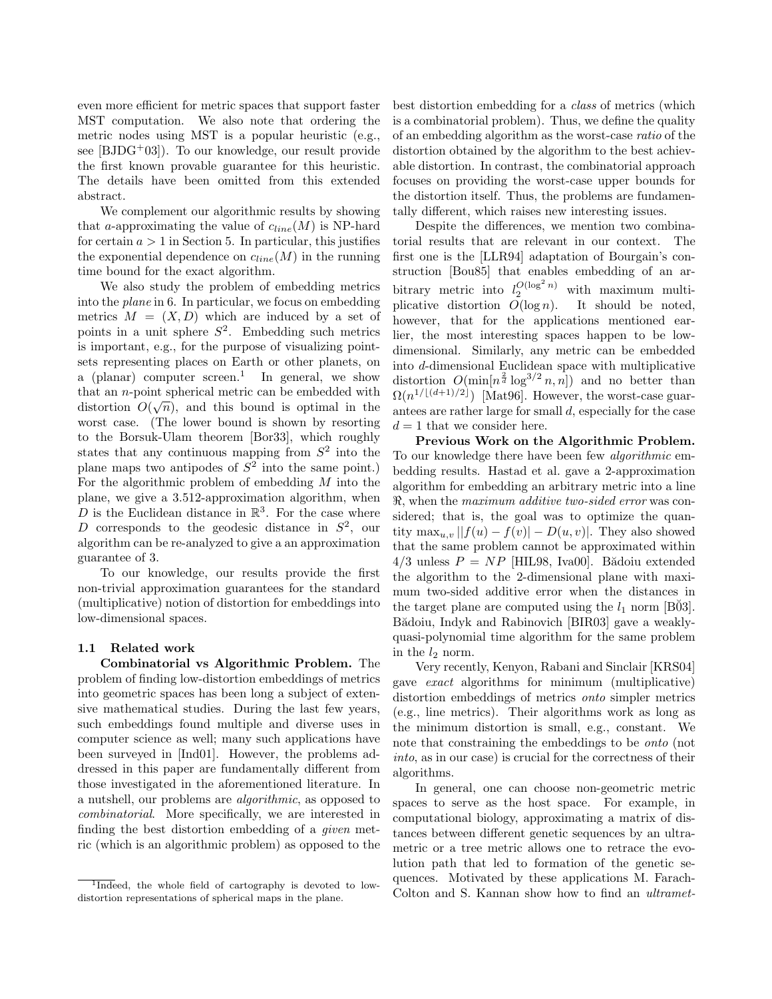even more efficient for metric spaces that support faster MST computation. We also note that ordering the metric nodes using MST is a popular heuristic (e.g., see [BJDG<sup>+</sup>03]). To our knowledge, our result provide the first known provable guarantee for this heuristic. The details have been omitted from this extended abstract.

We complement our algorithmic results by showing that a-approximating the value of  $c_{line}(M)$  is NP-hard for certain  $a > 1$  in Section 5. In particular, this justifies the exponential dependence on  $c_{line}(M)$  in the running time bound for the exact algorithm.

We also study the problem of embedding metrics into the plane in 6. In particular, we focus on embedding metrics  $M = (X, D)$  which are induced by a set of points in a unit sphere  $S^2$ . Embedding such metrics is important, e.g., for the purpose of visualizing pointsets representing places on Earth or other planets, on a (planar) computer  $screen<sup>1</sup>$  In general, we show that an *n*-point spherical metric can be embedded with  $\sim$ distortion  $O(\sqrt{n})$ , and this bound is optimal in the worst case. (The lower bound is shown by resorting to the Borsuk-Ulam theorem [Bor33], which roughly states that any continuous mapping from  $S^2$  into the plane maps two antipodes of  $S^2$  into the same point.) For the algorithmic problem of embedding M into the plane, we give a 3.512-approximation algorithm, when D is the Euclidean distance in  $\mathbb{R}^3$ . For the case where D corresponds to the geodesic distance in  $S^2$ , our algorithm can be re-analyzed to give a an approximation guarantee of 3.

To our knowledge, our results provide the first non-trivial approximation guarantees for the standard (multiplicative) notion of distortion for embeddings into low-dimensional spaces.

#### 1.1 Related work

Combinatorial vs Algorithmic Problem. The problem of finding low-distortion embeddings of metrics into geometric spaces has been long a subject of extensive mathematical studies. During the last few years, such embeddings found multiple and diverse uses in computer science as well; many such applications have been surveyed in [Ind01]. However, the problems addressed in this paper are fundamentally different from those investigated in the aforementioned literature. In a nutshell, our problems are algorithmic, as opposed to combinatorial. More specifically, we are interested in finding the best distortion embedding of a given metric (which is an algorithmic problem) as opposed to the

best distortion embedding for a class of metrics (which is a combinatorial problem). Thus, we define the quality of an embedding algorithm as the worst-case ratio of the distortion obtained by the algorithm to the best achievable distortion. In contrast, the combinatorial approach focuses on providing the worst-case upper bounds for the distortion itself. Thus, the problems are fundamentally different, which raises new interesting issues.

Despite the differences, we mention two combinatorial results that are relevant in our context. The first one is the [LLR94] adaptation of Bourgain's construction [Bou85] that enables embedding of an arbitrary metric into  $l_2^{O(\log^2 n)}$  with maximum multiplicative distortion  $O(\log n)$ . It should be noted, however, that for the applications mentioned earlier, the most interesting spaces happen to be lowdimensional. Similarly, any metric can be embedded into d-dimensional Euclidean space with multiplicative distortion  $O(\min[n^{\frac{2}{d}}\log^{3/2}n,n])$  and no better than  $\Omega(n^{1/\lfloor (d+1)/2 \rfloor})$  [Mat96]. However, the worst-case guarantees are rather large for small d, especially for the case  $d = 1$  that we consider here.

Previous Work on the Algorithmic Problem. To our knowledge there have been few algorithmic embedding results. Hastad et al. gave a 2-approximation algorithm for embedding an arbitrary metric into a line  $\Re$ , when the *maximum additive two-sided error* was considered; that is, the goal was to optimize the quantity  $\max_{u,v} ||f(u) - f(v)| - D(u, v)|$ . They also showed that the same problem cannot be approximated within  $4/3$  unless  $P = NP$  [HIL98, Iva00]. Bădoiu extended the algorithm to the 2-dimensional plane with maximum two-sided additive error when the distances in the target plane are computed using the  $l_1$  norm [B $03$ ]. Bădoiu, Indyk and Rabinovich [BIR03] gave a weaklyquasi-polynomial time algorithm for the same problem in the  $l_2$  norm.

Very recently, Kenyon, Rabani and Sinclair [KRS04] gave exact algorithms for minimum (multiplicative) distortion embeddings of metrics onto simpler metrics (e.g., line metrics). Their algorithms work as long as the minimum distortion is small, e.g., constant. We note that constraining the embeddings to be onto (not into, as in our case) is crucial for the correctness of their algorithms.

In general, one can choose non-geometric metric spaces to serve as the host space. For example, in computational biology, approximating a matrix of distances between different genetic sequences by an ultrametric or a tree metric allows one to retrace the evolution path that led to formation of the genetic sequences. Motivated by these applications M. Farach-Colton and S. Kannan show how to find an ultramet-

<sup>&</sup>lt;sup>1</sup>Indeed, the whole field of cartography is devoted to lowdistortion representations of spherical maps in the plane.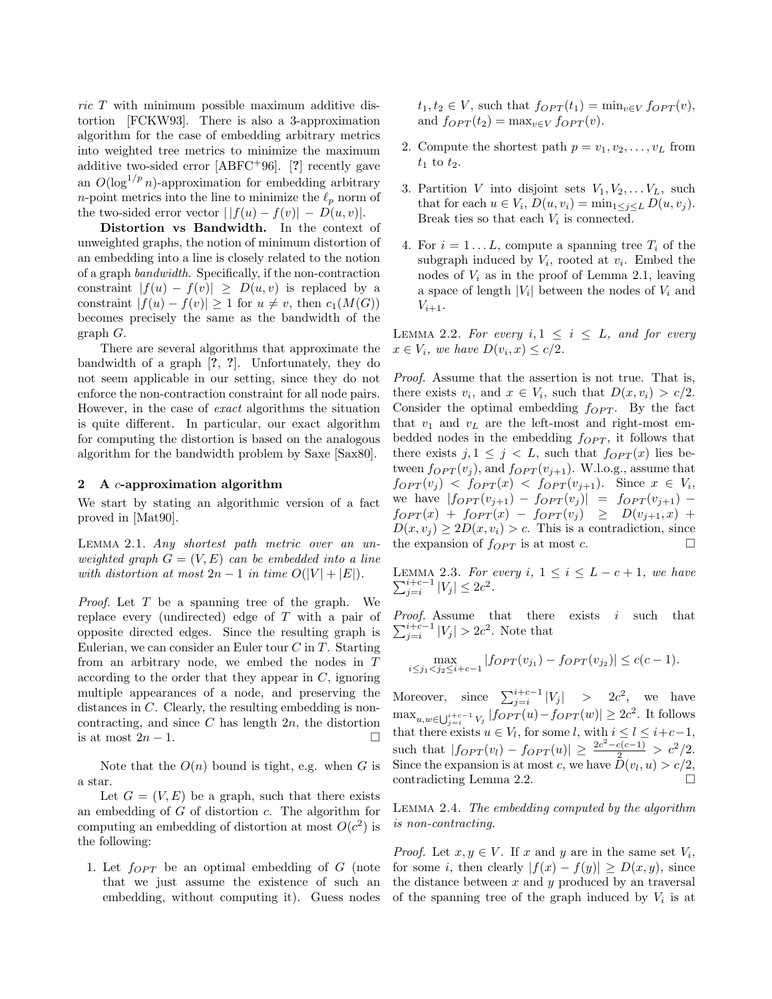ric T with minimum possible maximum additive distortion [FCKW93]. There is also a 3-approximation algorithm for the case of embedding arbitrary metrics into weighted tree metrics to minimize the maximum additive two-sided error [ABFC<sup>+</sup>96]. [?] recently gave an  $O(\log^{1/p} n)$ -approximation for embedding arbitrary *n*-point metrics into the line to minimize the  $\ell_p$  norm of the two-sided error vector  $||f(u) - f(v)| - D(u, v)|$ .

Distortion vs Bandwidth. In the context of unweighted graphs, the notion of minimum distortion of an embedding into a line is closely related to the notion of a graph bandwidth. Specifically, if the non-contraction constraint  $|f(u) - f(v)| \ge D(u, v)$  is replaced by a constraint  $|f(u) - f(v)| \geq 1$  for  $u \neq v$ , then  $c_1(M(G))$ becomes precisely the same as the bandwidth of the graph G.

There are several algorithms that approximate the bandwidth of a graph [?, ?]. Unfortunately, they do not seem applicable in our setting, since they do not enforce the non-contraction constraint for all node pairs. However, in the case of exact algorithms the situation is quite different. In particular, our exact algorithm for computing the distortion is based on the analogous algorithm for the bandwidth problem by Saxe [Sax80].

#### 2 A c-approximation algorithm

We start by stating an algorithmic version of a fact proved in [Mat90].

Lemma 2.1. Any shortest path metric over an unweighted graph  $G = (V, E)$  can be embedded into a line with distortion at most  $2n-1$  in time  $O(|V| + |E|)$ .

Proof. Let T be a spanning tree of the graph. We replace every (undirected) edge of T with a pair of opposite directed edges. Since the resulting graph is Eulerian, we can consider an Euler tour  $C$  in  $T$ . Starting from an arbitrary node, we embed the nodes in T according to the order that they appear in  $C$ , ignoring multiple appearances of a node, and preserving the distances in C. Clearly, the resulting embedding is noncontracting, and since  $C$  has length  $2n$ , the distortion is at most  $2n-1$ .

Note that the  $O(n)$  bound is tight, e.g. when G is a star.

Let  $G = (V, E)$  be a graph, such that there exists an embedding of  $G$  of distortion  $c$ . The algorithm for computing an embedding of distortion at most  $O(c^2)$  is the following:

1. Let  $f_{OPT}$  be an optimal embedding of G (note that we just assume the existence of such an embedding, without computing it). Guess nodes  $t_1, t_2 \in V$ , such that  $f_{OPT}(t_1) = \min_{v \in V} f_{OPT}(v)$ , and  $f_{OPT}(t_2) = \max_{v \in V} f_{OPT}(v)$ .

- 2. Compute the shortest path  $p = v_1, v_2, \ldots, v_L$  from  $t_1$  to  $t_2$ .
- 3. Partition V into disjoint sets  $V_1, V_2, \ldots V_L$ , such that for each  $u \in V_i$ ,  $D(u, v_i) = \min_{1 \leq j \leq L} D(u, v_j)$ . Break ties so that each  $V_i$  is connected.
- 4. For  $i = 1...L$ , compute a spanning tree  $T_i$  of the subgraph induced by  $V_i$ , rooted at  $v_i$ . Embed the nodes of  $V_i$  as in the proof of Lemma 2.1, leaving a space of length  $|V_i|$  between the nodes of  $V_i$  and  $V_{i+1}$ .

LEMMA 2.2. For every  $i, 1 \leq i \leq L$ , and for every  $x \in V_i$ , we have  $D(v_i, x) \leq c/2$ .

Proof. Assume that the assertion is not true. That is, there exists  $v_i$ , and  $x \in V_i$ , such that  $D(x, v_i) > c/2$ . Consider the optimal embedding  $f_{OPT}$ . By the fact that  $v_1$  and  $v_L$  are the left-most and right-most embedded nodes in the embedding  $f_{OPT}$ , it follows that there exists  $j, 1 \leq j < L$ , such that  $f_{OPT}(x)$  lies between  $f_{OPT}(v_i)$ , and  $f_{OPT}(v_{i+1})$ . W.l.o.g., assume that  $f_{OPT}(v_j)$  <  $f_{OPT}(x)$  <  $f_{OPT}(v_{j+1})$ . Since  $x \in V_i$ , we have  $|f_{OPT}(v_{j+1}) - f_{OPT}(v_j)| = f_{OPT}(v_{j+1})$  $f_{OPT}(x) + f_{OPT}(x) - f_{OPT}(v_j) \geq D(v_{j+1}, x) +$  $D(x, v_i) \geq 2D(x, v_i) > c$ . This is a contradiction, since the expansion of  $f_{OPT}$  is at most c.

Lemma 2.3.  $\sum$ EMMA 2.3. For every  $i, 1 \le i \le L - c + 1$ , we have  $\frac{i+c-1}{j=i} |V_j| \le 2c^2$ .

Proof. Assume that there exists i such that  $\sum_{j=i}^{i+c-1} |V_j| > 2c^2$ . Note that

$$
\max_{i \le j_1 < j_2 \le i+c-1} |f_{OPT}(v_{j_1}) - f_{OPT}(v_{j_2})| \le c(c-1).
$$

Moreover, since  $\sum_{j=i}^{i+c-1} |V_j|$  > 2 $c^2$ , we have  $\max_{u,w\in\bigcup_{j=i}^{i+c-1}V_j}|forT(u)-forT(w)|\geq 2c^2$ . It follows that there exists  $u \in V_l$ , for some l, with  $i \leq l \leq i+c-1$ , such that  $|f_{OPT}(v_l) - f_{OPT}(u)| \geq \frac{2c^2 - c(c-1)}{2} > c^2/2$ . Since the expansion is at most c, we have  $D(v_l, u) > c/2$ , contradicting Lemma 2.2.

Lemma 2.4. The embedding computed by the algorithm is non-contracting.

*Proof.* Let  $x, y \in V$ . If  $x$  and  $y$  are in the same set  $V_i$ , for some i, then clearly  $|f(x) - f(y)| \ge D(x, y)$ , since the distance between  $x$  and  $y$  produced by an traversal of the spanning tree of the graph induced by  $V_i$  is at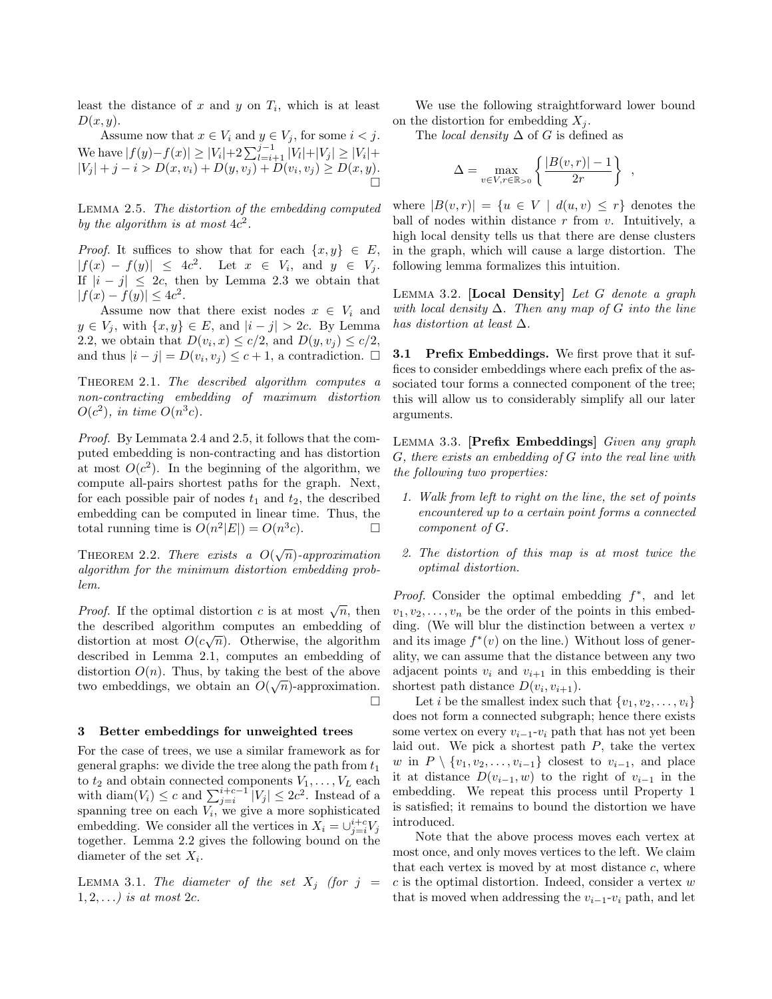least the distance of  $x$  and  $y$  on  $T_i$ , which is at least  $D(x, y)$ .

Assume now that  $x \in V_i$  and  $y \in V_j$ , for some  $i < j$ . We have  $|f(y)-f(x)| \geq |V_i| + 2\sum_{l=i+1}^{j-1} |V_l| + |V_j| \geq |V_i| +$  $|V_j| + j - i > D(x, v_i) + D(y, v_j) + D(v_i, v_j) \ge D(x, y).$ Ò

Lemma 2.5. The distortion of the embedding computed by the algorithm is at most  $4c^2$ .

*Proof.* It suffices to show that for each  $\{x, y\} \in E$ ,  $|f(x) - f(y)| \leq 4c^2$ . Let  $x \in V_i$ , and  $y \in V_j$ . If  $|i - j| \leq 2c$ , then by Lemma 2.3 we obtain that  $|f(x) - f(y)| \leq 4c^2$ .

Assume now that there exist nodes  $x \in V_i$  and  $y \in V_j$ , with  $\{x, y\} \in E$ , and  $|i - j| > 2c$ . By Lemma 2.2, we obtain that  $D(v_i, x) \leq c/2$ , and  $D(y, v_j) \leq c/2$ , and thus  $|i - j| = D(v_i, v_j) \leq c + 1$ , a contradiction.  $\Box$ 

THEOREM 2.1. The described algorithm computes a non-contracting embedding of maximum distortion  $O(c^2)$ , in time  $O(n^3c)$ .

Proof. By Lemmata 2.4 and 2.5, it follows that the computed embedding is non-contracting and has distortion at most  $O(c^2)$ . In the beginning of the algorithm, we compute all-pairs shortest paths for the graph. Next, for each possible pair of nodes  $t_1$  and  $t_2$ , the described embedding can be computed in linear time. Thus, the total running time is  $O(n^2|E|) = O(n^3c)$ .

THEOREM 2.2. There exists a  $O(\sqrt{n})$ -approximation algorithm for the minimum distortion embedding problem.

*Proof.* If the optimal distortion c is at most  $\sqrt{n}$ , then the described algorithm computes an embedding of distortion at most  $O(c\sqrt{n})$ . Otherwise, the algorithm described in Lemma 2.1, computes an embedding of distortion  $O(n)$ . Thus, by taking the best of the above two embeddings, we obtain an  $O(\sqrt{n})$ -approximation.  $\Box$ 

#### 3 Better embeddings for unweighted trees

For the case of trees, we use a similar framework as for general graphs: we divide the tree along the path from  $t_1$ to  $t_2$  and obtain connected components  $V_1, \ldots, V_L$  each with diam $(V_i) \leq c$  and  $\sum_{j=i}^{i+c-1} |V_j| \leq 2c^2$ . Instead of a spanning tree on each  $V_i$ , we give a more sophisticated embedding. We consider all the vertices in  $X_i = \bigcup_{j=i}^{i+c} V_j$ together. Lemma 2.2 gives the following bound on the diameter of the set  $X_i$ .

LEMMA 3.1. The diameter of the set  $X_j$  (for  $j =$  $1, 2, \ldots$ ) is at most 2c.

We use the following straightforward lower bound on the distortion for embedding  $X_i$ .

The *local density*  $\Delta$  of G is defined as

$$
\Delta = \max_{v \in V, r \in \mathbb{R}_{>0}} \left\{ \frac{|B(v, r)| - 1}{2r} \right\}
$$

,

where  $|B(v,r)| = \{u \in V \mid d(u,v) \leq r\}$  denotes the ball of nodes within distance  $r$  from  $v$ . Intuitively, a high local density tells us that there are dense clusters in the graph, which will cause a large distortion. The following lemma formalizes this intuition.

LEMMA 3.2. [Local Density] Let  $G$  denote a graph with local density  $\Delta$ . Then any map of G into the line has distortion at least  $\Delta$ .

3.1 Prefix Embeddings. We first prove that it suffices to consider embeddings where each prefix of the associated tour forms a connected component of the tree; this will allow us to considerably simplify all our later arguments.

Lemma 3.3. [Prefix Embeddings] Given any graph G, there exists an embedding of G into the real line with the following two properties:

- 1. Walk from left to right on the line, the set of points encountered up to a certain point forms a connected component of G.
- 2. The distortion of this map is at most twice the optimal distortion.

*Proof.* Consider the optimal embedding  $f^*$ , and let  $v_1, v_2, \ldots, v_n$  be the order of the points in this embedding. (We will blur the distinction between a vertex  $v$ and its image  $f^*(v)$  on the line.) Without loss of generality, we can assume that the distance between any two adjacent points  $v_i$  and  $v_{i+1}$  in this embedding is their shortest path distance  $D(v_i, v_{i+1})$ .

Let i be the smallest index such that  $\{v_1, v_2, \ldots, v_i\}$ does not form a connected subgraph; hence there exists some vertex on every  $v_{i-1}-v_i$  path that has not yet been laid out. We pick a shortest path  $P$ , take the vertex w in  $P \setminus \{v_1, v_2, \ldots, v_{i-1}\}\)$  closest to  $v_{i-1}$ , and place it at distance  $D(v_{i-1}, w)$  to the right of  $v_{i-1}$  in the embedding. We repeat this process until Property 1 is satisfied; it remains to bound the distortion we have introduced.

Note that the above process moves each vertex at most once, and only moves vertices to the left. We claim that each vertex is moved by at most distance  $c$ , where  $c$  is the optimal distortion. Indeed, consider a vertex  $w$ that is moved when addressing the  $v_{i-1}$ - $v_i$  path, and let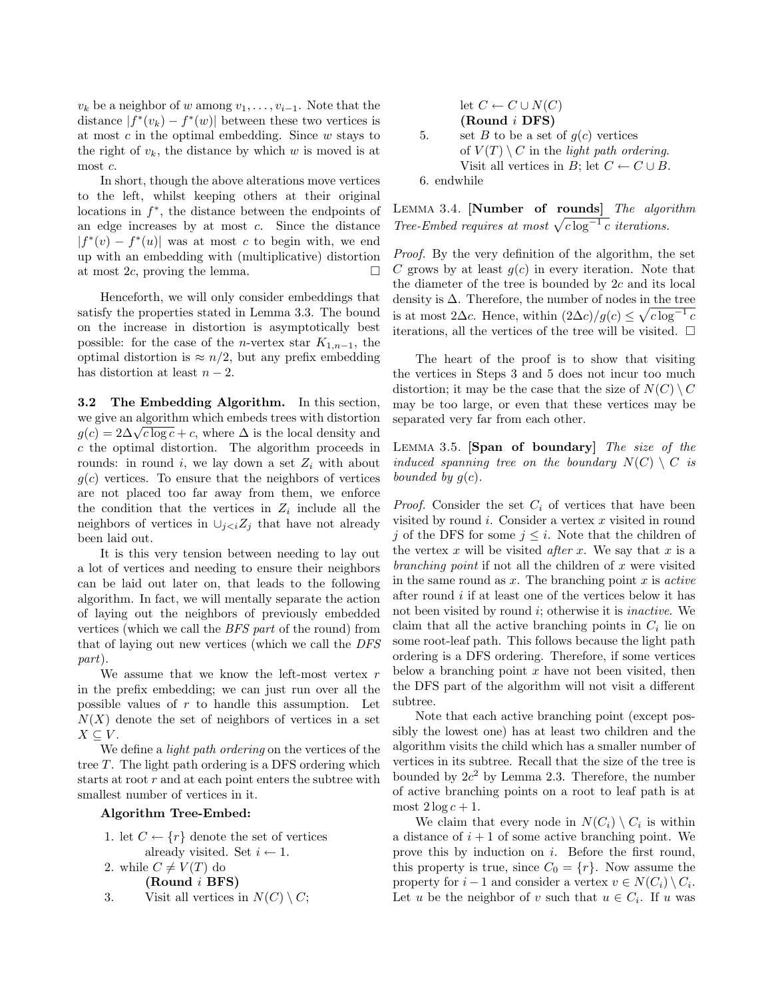$v_k$  be a neighbor of w among  $v_1, \ldots, v_{i-1}$ . Note that the distance  $|f^*(v_k) - f^*(w)|$  between these two vertices is at most  $c$  in the optimal embedding. Since  $w$  stays to the right of  $v_k$ , the distance by which w is moved is at most c.

In short, though the above alterations move vertices to the left, whilst keeping others at their original locations in  $f^*$ , the distance between the endpoints of an edge increases by at most c. Since the distance  $|f^*(v) - f^*(u)|$  was at most c to begin with, we end up with an embedding with (multiplicative) distortion at most  $2c$ , proving the lemma.

Henceforth, we will only consider embeddings that satisfy the properties stated in Lemma 3.3. The bound on the increase in distortion is asymptotically best possible: for the case of the *n*-vertex star  $K_{1,n-1}$ , the optimal distortion is  $\approx n/2$ , but any prefix embedding has distortion at least  $n-2$ .

3.2 The Embedding Algorithm. In this section, we give an algorithm which embeds trees with distortion we give an algorithm which embeds trees with distortion  $g(c) = 2\Delta \sqrt{c \log c} + c$ , where  $\Delta$  is the local density and c the optimal distortion. The algorithm proceeds in rounds: in round i, we lay down a set  $Z_i$  with about  $g(c)$  vertices. To ensure that the neighbors of vertices are not placed too far away from them, we enforce the condition that the vertices in  $Z_i$  include all the neighbors of vertices in  $\cup_{j that have not already$ been laid out.

It is this very tension between needing to lay out a lot of vertices and needing to ensure their neighbors can be laid out later on, that leads to the following algorithm. In fact, we will mentally separate the action of laying out the neighbors of previously embedded vertices (which we call the BFS part of the round) from that of laying out new vertices (which we call the DFS part).

We assume that we know the left-most vertex  $r$ in the prefix embedding; we can just run over all the possible values of  $r$  to handle this assumption. Let  $N(X)$  denote the set of neighbors of vertices in a set  $X \subseteq V$ .

We define a *light path ordering* on the vertices of the tree T. The light path ordering is a DFS ordering which starts at root  $r$  and at each point enters the subtree with smallest number of vertices in it.

# Algorithm Tree-Embed:

```
1. let C \leftarrow \{r\} denote the set of vertices
         already visited. Set i \leftarrow 1.
2. while C \neq V(T) do
```
(Round i BFS)

3. Visit all vertices in  $N(C) \setminus C$ ;

\n- let 
$$
C \leftarrow C \cup N(C)
$$
\n- (Round *i* DFS)
\n- set *B* to be a set of  $g(c)$  vertices of  $V(T) \setminus C$  in the *light path ordering*. Visit all vertices in *B*; let  $C \leftarrow C \cup B$ .
\n- 6. endwhile
\n

LEMMA 3.4. [Number of rounds] The algorithm Tree-Embed requires at most  $\sqrt{c \log^{-1} c}$  iterations.

Proof. By the very definition of the algorithm, the set C grows by at least  $q(c)$  in every iteration. Note that the diameter of the tree is bounded by 2c and its local density is  $\Delta$ . Therefore, the number of nodes in the tree is at most 2 $\Delta c$ . Hence, within  $(2\Delta c)/g(c) \leq \sqrt{c \log^{-1} c}$ iterations, all the vertices of the tree will be visited.  $\Box$ 

The heart of the proof is to show that visiting the vertices in Steps 3 and 5 does not incur too much distortion; it may be the case that the size of  $N(C) \setminus C$ may be too large, or even that these vertices may be separated very far from each other.

LEMMA 3.5. [Span of boundary] The size of the induced spanning tree on the boundary  $N(C) \setminus C$  is bounded by  $g(c)$ .

*Proof.* Consider the set  $C_i$  of vertices that have been visited by round  $i$ . Consider a vertex  $x$  visited in round j of the DFS for some  $j \leq i$ . Note that the children of the vertex  $x$  will be visited *after*  $x$ . We say that  $x$  is a branching point if not all the children of x were visited in the same round as  $x$ . The branching point  $x$  is *active* after round i if at least one of the vertices below it has not been visited by round  $i$ ; otherwise it is *inactive*. We claim that all the active branching points in  $C_i$  lie on some root-leaf path. This follows because the light path ordering is a DFS ordering. Therefore, if some vertices below a branching point  $x$  have not been visited, then the DFS part of the algorithm will not visit a different subtree.

Note that each active branching point (except possibly the lowest one) has at least two children and the algorithm visits the child which has a smaller number of vertices in its subtree. Recall that the size of the tree is bounded by  $2c^2$  by Lemma 2.3. Therefore, the number of active branching points on a root to leaf path is at most  $2 \log c + 1$ .

We claim that every node in  $N(C_i) \setminus C_i$  is within a distance of  $i + 1$  of some active branching point. We prove this by induction on i. Before the first round, this property is true, since  $C_0 = \{r\}$ . Now assume the property for  $i-1$  and consider a vertex  $v \in N(C_i) \setminus C_i$ . Let u be the neighbor of v such that  $u \in C_i$ . If u was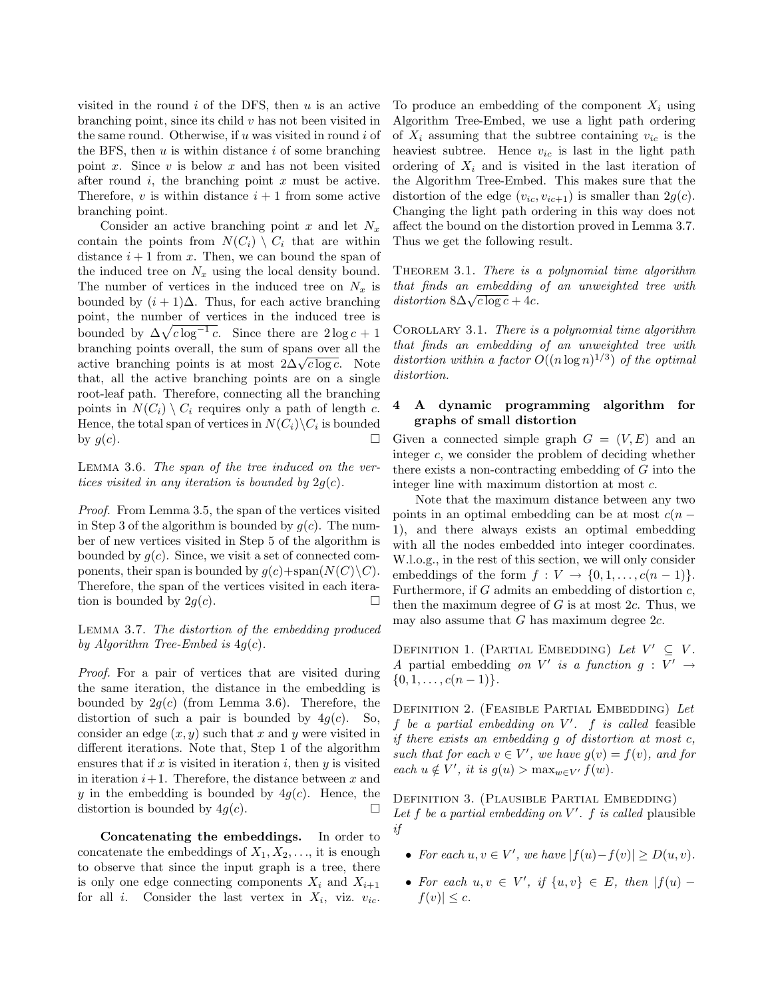visited in the round  $i$  of the DFS, then  $u$  is an active branching point, since its child  $v$  has not been visited in the same round. Otherwise, if  $u$  was visited in round  $i$  of the BFS, then  $u$  is within distance  $i$  of some branching point x. Since  $v$  is below  $x$  and has not been visited after round  $i$ , the branching point  $x$  must be active. Therefore,  $v$  is within distance  $i + 1$  from some active branching point.

Consider an active branching point x and let  $N_x$ contain the points from  $N(C_i) \setminus C_i$  that are within distance  $i + 1$  from x. Then, we can bound the span of the induced tree on  $N_x$  using the local density bound. The number of vertices in the induced tree on  $N_x$  is bounded by  $(i + 1)\Delta$ . Thus, for each active branching point, the number of vertices in the induced tree is bounded by  $\Delta\sqrt{c \log^{-1} c}$ . Since there are  $2 \log c + 1$ branching points overall, the sum of spans over all the branching points overan, the sum of spans over an the active branching points is at most  $2\Delta\sqrt{c \log c}$ . Note that, all the active branching points are on a single root-leaf path. Therefore, connecting all the branching points in  $N(C_i) \setminus C_i$  requires only a path of length c. Hence, the total span of vertices in  $N(C_i)\backslash C_i$  is bounded by  $g(c)$ .

Lemma 3.6. The span of the tree induced on the vertices visited in any iteration is bounded by  $2q(c)$ .

Proof. From Lemma 3.5, the span of the vertices visited in Step 3 of the algorithm is bounded by  $q(c)$ . The number of new vertices visited in Step 5 of the algorithm is bounded by  $q(c)$ . Since, we visit a set of connected components, their span is bounded by  $q(c)+\text{span}(N(C)\backslash C)$ . Therefore, the span of the vertices visited in each iteration is bounded by  $2q(c)$ .

Lemma 3.7. The distortion of the embedding produced by Algorithm Tree-Embed is  $4g(c)$ .

Proof. For a pair of vertices that are visited during the same iteration, the distance in the embedding is bounded by  $2g(c)$  (from Lemma 3.6). Therefore, the distortion of such a pair is bounded by  $4g(c)$ . So, consider an edge  $(x, y)$  such that x and y were visited in different iterations. Note that, Step 1 of the algorithm ensures that if  $x$  is visited in iteration  $i$ , then  $y$  is visited in iteration  $i+1$ . Therefore, the distance between x and y in the embedding is bounded by  $4q(c)$ . Hence, the distortion is bounded by  $4q(c)$ .

Concatenating the embeddings. In order to concatenate the embeddings of  $X_1, X_2, \ldots$ , it is enough to observe that since the input graph is a tree, there is only one edge connecting components  $X_i$  and  $X_{i+1}$ for all *i*. Consider the last vertex in  $X_i$ , viz.  $v_{ic}$ .

To produce an embedding of the component  $X_i$  using Algorithm Tree-Embed, we use a light path ordering of  $X_i$  assuming that the subtree containing  $v_{ic}$  is the heaviest subtree. Hence  $v_{ic}$  is last in the light path ordering of  $X_i$  and is visited in the last iteration of the Algorithm Tree-Embed. This makes sure that the distortion of the edge  $(v_{ic}, v_{ic+1})$  is smaller than  $2g(c)$ . Changing the light path ordering in this way does not affect the bound on the distortion proved in Lemma 3.7. Thus we get the following result.

THEOREM 3.1. There is a polynomial time algorithm that finds an embedding of an unweighted tree with *distortion*  $8\Delta\sqrt{c \log c} + 4c$ .

COROLLARY 3.1. There is a polynomial time algorithm that finds an embedding of an unweighted tree with distortion within a factor  $O((n \log n)^{1/3})$  of the optimal distortion.

## 4 A dynamic programming algorithm for graphs of small distortion

Given a connected simple graph  $G = (V, E)$  and an integer c, we consider the problem of deciding whether there exists a non-contracting embedding of G into the integer line with maximum distortion at most c.

Note that the maximum distance between any two points in an optimal embedding can be at most  $c(n -$ 1), and there always exists an optimal embedding with all the nodes embedded into integer coordinates. W.l.o.g., in the rest of this section, we will only consider embeddings of the form  $f: V \to \{0, 1, \ldots, c(n-1)\}.$ Furthermore, if  $G$  admits an embedding of distortion  $c$ , then the maximum degree of  $G$  is at most  $2c$ . Thus, we may also assume that  $G$  has maximum degree  $2c$ .

DEFINITION 1. (PARTIAL EMBEDDING) Let  $V' \subseteq V$ . A partial embedding on V' is a function  $g: V' \rightarrow$  $\{0, 1, \ldots, c(n-1)\}.$ 

DEFINITION 2. (FEASIBLE PARTIAL EMBEDDING) Let  $f$  be a partial embedding on  $V'$ .  $f$  is called feasible if there exists an embedding g of distortion at most c, such that for each  $v \in V'$ , we have  $g(v) = f(v)$ , and for each  $u \notin V'$ , it is  $g(u) > \max_{w \in V'} f(w)$ .

Definition 3. (Plausible Partial Embedding) Let  $f$  be a partial embedding on  $V'$ .  $f$  is called plausible if

- For each  $u, v \in V'$ , we have  $|f(u)-f(v)| \ge D(u, v)$ .
- For each  $u, v \in V'$ , if  $\{u, v\} \in E$ , then  $|f(u) |f(v)| \leq c.$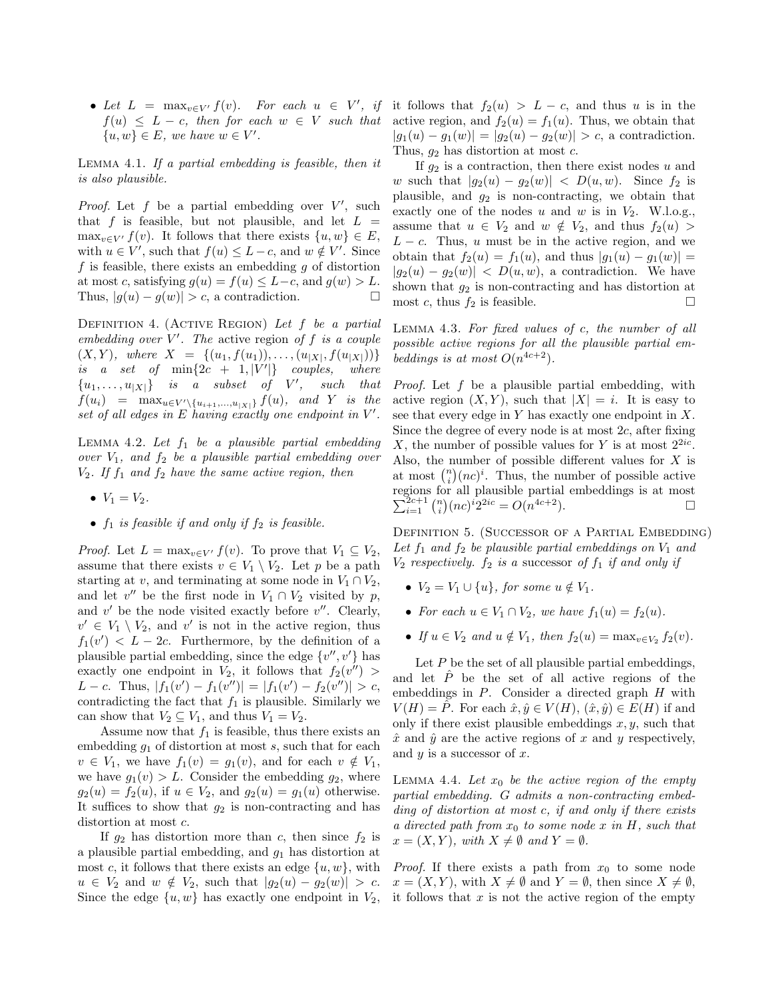$f(u) \leq L - c$ , then for each  $w \in V$  such that  $\{u, w\} \in E$ , we have  $w \in V'$ .

Lemma 4.1. If a partial embedding is feasible, then it is also plausible.

*Proof.* Let  $f$  be a partial embedding over  $V'$ , such that f is feasible, but not plausible, and let  $L =$  $\max_{v \in V'} f(v)$ . It follows that there exists  $\{u, w\} \in E$ , with  $u \in V'$ , such that  $f(u) \leq L - c$ , and  $w \notin V'$ . Since f is feasible, there exists an embedding  $q$  of distortion at most c, satisfying  $g(u) = f(u) \leq L-c$ , and  $g(w) > L$ . Thus,  $|g(u) - g(w)| > c$ , a contradiction.

DEFINITION 4. (ACTIVE REGION) Let  $f$  be a partial embedding over  $V'$ . The active region of f is a couple  $(X, Y)$ , where  $X = \{(u_1, f(u_1)), \ldots, (u_{|X|}, f(u_{|X|}))\}$ is a set of  $\min\{2c + 1, |V'|\}$  couples, where  ${u_1, \ldots, u_{|X|}}$  is a subset of  $V'$ , such that  $f(u_i) = \max_{u \in V' \setminus \{u_{i+1},...,u_{|X|}\}} f(u)$ , and Y is the set of all edges in  $E$  having exactly one endpoint in  $V'$ .

LEMMA 4.2. Let  $f_1$  be a plausible partial embedding over  $V_1$ , and  $f_2$  be a plausible partial embedding over  $V_2$ . If  $f_1$  and  $f_2$  have the same active region, then

- $V_1 = V_2$ .
- $f_1$  is feasible if and only if  $f_2$  is feasible.

*Proof.* Let  $L = \max_{v \in V'} f(v)$ . To prove that  $V_1 \subseteq V_2$ , assume that there exists  $v \in V_1 \setminus V_2$ . Let p be a path starting at v, and terminating at some node in  $V_1 \cap V_2$ , and let  $v''$  be the first node in  $V_1 \cap V_2$  visited by p, and  $v'$  be the node visited exactly before  $v''$ . Clearly,  $v' \in V_1 \setminus V_2$ , and v' is not in the active region, thus  $f_1(v') < L - 2c$ . Furthermore, by the definition of a plausible partial embedding, since the edge  $\{v'', v'\}$  has exactly one endpoint in  $V_2$ , it follows that  $f_2(v'') >$ L – c. Thus,  $|f_1(v') - f_1(v'')| = |f_1(v') - f_2(v'')| > c$ , contradicting the fact that  $f_1$  is plausible. Similarly we can show that  $V_2 \subseteq V_1$ , and thus  $V_1 = V_2$ .

Assume now that  $f_1$  is feasible, thus there exists an embedding  $g_1$  of distortion at most  $s$ , such that for each  $v \in V_1$ , we have  $f_1(v) = g_1(v)$ , and for each  $v \notin V_1$ , we have  $g_1(v) > L$ . Consider the embedding  $g_2$ , where  $g_2(u) = f_2(u)$ , if  $u \in V_2$ , and  $g_2(u) = g_1(u)$  otherwise. It suffices to show that  $g_2$  is non-contracting and has distortion at most c.

If  $g_2$  has distortion more than c, then since  $f_2$  is a plausible partial embedding, and  $g_1$  has distortion at most c, it follows that there exists an edge  $\{u, w\}$ , with  $u \in V_2$  and  $w \notin V_2$ , such that  $|g_2(u) - g_2(w)| > c$ . Since the edge  $\{u, w\}$  has exactly one endpoint in  $V_2$ ,

• Let  $L = \max_{v \in V'} f(v)$ . For each  $u \in V'$ , if it follows that  $f_2(u) > L - c$ , and thus u is in the active region, and  $f_2(u) = f_1(u)$ . Thus, we obtain that  $|g_1(u) - g_1(w)| = |g_2(u) - g_2(w)| > c$ , a contradiction. Thus,  $g_2$  has distortion at most  $c$ .

> If  $g_2$  is a contraction, then there exist nodes u and w such that  $|g_2(u) - g_2(w)| < D(u, w)$ . Since  $f_2$  is plausible, and  $g_2$  is non-contracting, we obtain that exactly one of the nodes u and w is in  $V_2$ . W.l.o.g., assume that  $u \in V_2$  and  $w \notin V_2$ , and thus  $f_2(u)$  $L - c$ . Thus, u must be in the active region, and we obtain that  $f_2(u) = f_1(u)$ , and thus  $|g_1(u) - g_1(w)| =$  $|g_2(u) - g_2(w)|$  <  $D(u, w)$ , a contradiction. We have shown that  $g_2$  is non-contracting and has distortion at most c, thus  $f_2$  is feasible.

> Lemma 4.3. For fixed values of c, the number of all possible active regions for all the plausible partial embeddings is at most  $O(n^{4c+2})$ .

> Proof. Let f be a plausible partial embedding, with active region  $(X, Y)$ , such that  $|X| = i$ . It is easy to see that every edge in  $Y$  has exactly one endpoint in  $X$ . Since the degree of every node is at most  $2c$ , after fixing X, the number of possible values for Y is at most  $2^{2ic}$ . Also, the number of possible different values for  $X$  is at most  $\binom{n}{i} (nc)^i$ . Thus, the number of possible active regions for all plausible partial embeddings is at most  $\sum_{i=1}^{2c+1} \binom{n}{i} (nc)^i 2^{2ic} = O(n^{4c+2}).$

DEFINITION 5. (SUCCESSOR OF A PARTIAL EMBEDDING) Let  $f_1$  and  $f_2$  be plausible partial embeddings on  $V_1$  and  $V_2$  respectively.  $f_2$  is a successor of  $f_1$  if and only if

- $V_2 = V_1 \cup \{u\}$ , for some  $u \notin V_1$ .
- For each  $u \in V_1 \cap V_2$ , we have  $f_1(u) = f_2(u)$ .
- If  $u \in V_2$  and  $u \notin V_1$ , then  $f_2(u) = \max_{v \in V_2} f_2(v)$ .

Let  $P$  be the set of all plausible partial embeddings, and let  $\hat{P}$  be the set of all active regions of the embeddings in  $P$ . Consider a directed graph  $H$  with  $V(H) = \tilde{P}$ . For each  $\hat{x}, \hat{y} \in V(H)$ ,  $(\hat{x}, \hat{y}) \in E(H)$  if and only if there exist plausible embeddings  $x, y$ , such that  $\hat{x}$  and  $\hat{y}$  are the active regions of x and y respectively, and  $y$  is a successor of  $x$ .

LEMMA 4.4. Let  $x_0$  be the active region of the empty partial embedding. G admits a non-contracting embedding of distortion at most c, if and only if there exists a directed path from  $x_0$  to some node x in H, such that  $x = (X, Y)$ , with  $X \neq \emptyset$  and  $Y = \emptyset$ .

*Proof.* If there exists a path from  $x_0$  to some node  $x = (X, Y)$ , with  $X \neq \emptyset$  and  $Y = \emptyset$ , then since  $X \neq \emptyset$ , it follows that  $x$  is not the active region of the empty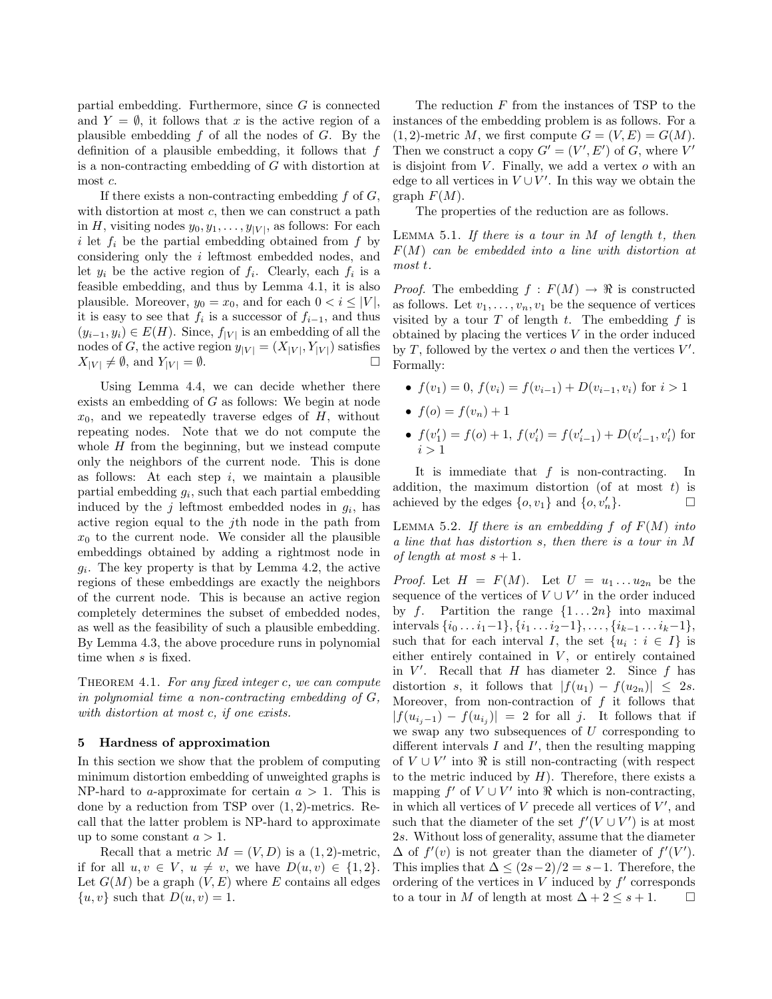partial embedding. Furthermore, since G is connected and  $Y = \emptyset$ , it follows that x is the active region of a plausible embedding  $f$  of all the nodes of  $G$ . By the definition of a plausible embedding, it follows that  $f$ is a non-contracting embedding of G with distortion at most c.

If there exists a non-contracting embedding  $f$  of  $G$ , with distortion at most  $c$ , then we can construct a path in H, visiting nodes  $y_0, y_1, \ldots, y_{|V|}$ , as follows: For each i let  $f_i$  be the partial embedding obtained from  $f$  by considering only the i leftmost embedded nodes, and let  $y_i$  be the active region of  $f_i$ . Clearly, each  $f_i$  is a feasible embedding, and thus by Lemma 4.1, it is also plausible. Moreover,  $y_0 = x_0$ , and for each  $0 < i \leq |V|$ , it is easy to see that  $f_i$  is a successor of  $f_{i-1}$ , and thus  $(y_{i-1}, y_i) \in E(H)$ . Since,  $f_{|V|}$  is an embedding of all the nodes of G, the active region  $y_{|V|} = (X_{|V|}, Y_{|V|})$  satisfies  $X_{|V|} \neq \emptyset$ , and  $Y_{|V|} = \emptyset$ .

Using Lemma 4.4, we can decide whether there exists an embedding of G as follows: We begin at node  $x_0$ , and we repeatedly traverse edges of  $H$ , without repeating nodes. Note that we do not compute the whole  $H$  from the beginning, but we instead compute only the neighbors of the current node. This is done as follows: At each step  $i$ , we maintain a plausible partial embedding  $g_i$ , such that each partial embedding induced by the  $j$  leftmost embedded nodes in  $g_i$ , has active region equal to the jth node in the path from  $x_0$  to the current node. We consider all the plausible embeddings obtained by adding a rightmost node in  $g_i$ . The key property is that by Lemma 4.2, the active regions of these embeddings are exactly the neighbors of the current node. This is because an active region completely determines the subset of embedded nodes, as well as the feasibility of such a plausible embedding. By Lemma 4.3, the above procedure runs in polynomial time when s is fixed.

THEOREM 4.1. For any fixed integer  $c$ , we can compute in polynomial time a non-contracting embedding of G, with distortion at most c, if one exists.

### 5 Hardness of approximation

In this section we show that the problem of computing minimum distortion embedding of unweighted graphs is NP-hard to a-approximate for certain  $a > 1$ . This is done by a reduction from TSP over (1, 2)-metrics. Recall that the latter problem is NP-hard to approximate up to some constant  $a > 1$ .

Recall that a metric  $M = (V, D)$  is a  $(1, 2)$ -metric, if for all  $u, v \in V$ ,  $u \neq v$ , we have  $D(u, v) \in \{1, 2\}$ . Let  $G(M)$  be a graph  $(V, E)$  where E contains all edges  $\{u, v\}$  such that  $D(u, v) = 1$ .

The reduction  $F$  from the instances of TSP to the instances of the embedding problem is as follows. For a  $(1, 2)$ -metric M, we first compute  $G = (V, E) = G(M)$ . Then we construct a copy  $G' = (V', E')$  of G, where V' is disjoint from  $V$ . Finally, we add a vertex  $o$  with an edge to all vertices in  $V \cup V'$ . In this way we obtain the graph  $F(M)$ .

The properties of the reduction are as follows.

LEMMA 5.1. If there is a tour in  $M$  of length  $t$ , then  $F(M)$  can be embedded into a line with distortion at most t.

*Proof.* The embedding  $f : F(M) \to \mathbb{R}$  is constructed as follows. Let  $v_1, \ldots, v_n, v_1$  be the sequence of vertices visited by a tour  $T$  of length  $t$ . The embedding  $f$  is obtained by placing the vertices  $V$  in the order induced by  $T$ , followed by the vertex  $o$  and then the vertices  $V'$ . Formally:

- $f(v_1) = 0$ ,  $f(v_i) = f(v_{i-1}) + D(v_{i-1}, v_i)$  for  $i > 1$
- $f(o) = f(v_n) + 1$
- $f(v'_1) = f(o) + 1$ ,  $f(v'_i) = f(v'_{i-1}) + D(v'_{i-1}, v'_i)$  for  $i > 1$

It is immediate that  $f$  is non-contracting. In addition, the maximum distortion (of at most  $t$ ) is achieved by the edges  $\{o, v_1\}$  and  $\{o, v'_n\}$ .

LEMMA 5.2. If there is an embedding  $f$  of  $F(M)$  into a line that has distortion s, then there is a tour in M of length at most  $s + 1$ .

*Proof.* Let  $H = F(M)$ . Let  $U = u_1 \dots u_{2n}$  be the sequence of the vertices of  $V \cup V'$  in the order induced by f. Partition the range  $\{1 \dots 2n\}$  into maximal intervals  $\{i_0 \ldots i_1-1\}, \{i_1 \ldots i_2-1\}, \ldots, \{i_{k-1} \ldots i_k-1\},\$ such that for each interval I, the set  $\{u_i : i \in I\}$  is either entirely contained in  $V$ , or entirely contained in  $V'$ . Recall that  $H$  has diameter 2. Since  $f$  has distortion s, it follows that  $|f(u_1) - f(u_{2n})| \leq 2s$ . Moreover, from non-contraction of  $f$  it follows that  $|f(u_{i_j-1})-f(u_{i_j})|=2$  for all j. It follows that if we swap any two subsequences of  $U$  corresponding to different intervals  $I$  and  $I'$ , then the resulting mapping of  $V \cup V'$  into  $\Re$  is still non-contracting (with respect to the metric induced by  $H$ ). Therefore, there exists a mapping  $f'$  of  $V \cup V'$  into  $\Re$  which is non-contracting, in which all vertices of  $V$  precede all vertices of  $V'$ , and such that the diameter of the set  $f'(V \cup V')$  is at most 2s. Without loss of generality, assume that the diameter  $\Delta$  of  $f'(v)$  is not greater than the diameter of  $f'(V')$ . This implies that  $\Delta \leq (2s-2)/2 = s-1$ . Therefore, the ordering of the vertices in  $V$  induced by  $f'$  corresponds to a tour in M of length at most  $\Delta + 2 \leq s + 1$ .  $\Box$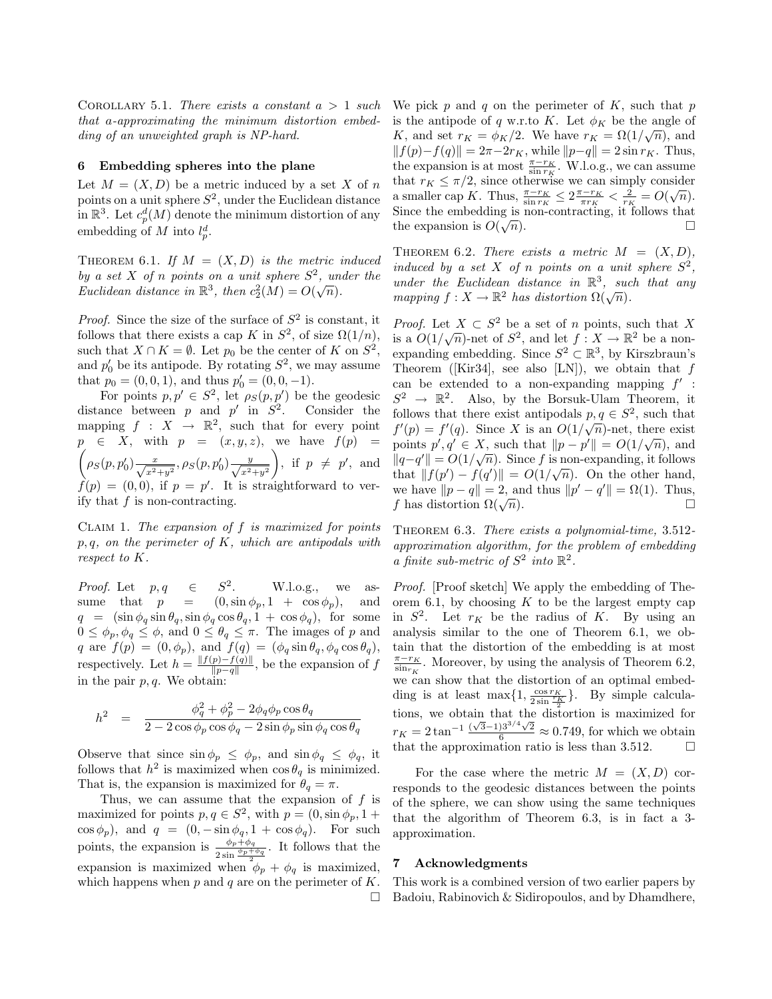COROLLARY 5.1. There exists a constant  $a > 1$  such that a-approximating the minimum distortion embedding of an unweighted graph is NP-hard.

# 6 Embedding spheres into the plane

Let  $M = (X, D)$  be a metric induced by a set X of n points on a unit sphere  $S^2$ , under the Euclidean distance in  $\mathbb{R}^3$ . Let  $c_p^d(M)$  denote the minimum distortion of any embedding of M into  $l_p^d$ .

THEOREM 6.1. If  $M = (X, D)$  is the metric induced by a set X of n points on a unit sphere  $S^2$ , under the by a set  $X$  by a points on a unit sphere  $S$ ,  $m$ <br>Euclidean distance in  $\mathbb{R}^3$ , then  $c_2^2(M) = O(\sqrt{n})$ .

*Proof.* Since the size of the surface of  $S^2$  is constant, it follows that there exists a cap K in  $S^2$ , of size  $\Omega(1/n)$ , such that  $X \cap K = \emptyset$ . Let  $p_0$  be the center of K on  $S^2$ , and  $p'_0$  be its antipode. By rotating  $S^2$ , we may assume that  $p_0 = (0, 0, 1)$ , and thus  $p'_0 = (0, 0, -1)$ .

For points  $p, p' \in S^2$ , let  $\rho_S(p, p')$  be the geodesic distance between p and p' in  $S^2$ . Consider the mapping  $f : X \to \mathbb{R}^2$ , such that for every point  $p \in X$ , with  $p = (x, y, z)$ , we have  $f(p) =$  $\left(\rho_S(p, p'_0) \frac{x}{\sqrt{x^2+y^2}}, \rho_S(p, p'_0) \frac{y}{\sqrt{x^2+y^2}}\right)$ ), if  $p \neq p'$ , and  $f(p) = (0, 0)$ , if  $p = p'$ . It is straightforward to verify that f is non-contracting.

CLAIM 1. The expansion of  $f$  is maximized for points  $p, q$ , on the perimeter of  $K$ , which are antipodals with respect to K.

*Proof.* Let  $p, q \in$  $S^2$ . . W.l.o.g., we assume that  $p = (0, \sin \phi_p, 1 + \cos \phi_p),$  and  $q = (\sin \phi_q \sin \theta_q, \sin \phi_q \cos \theta_q, 1 + \cos \phi_q)$ , for some  $0 \leq \phi_p, \phi_q \leq \phi$ , and  $0 \leq \theta_q \leq \pi$ . The images of p and q are  $f(p) = (0, \phi_p)$ , and  $f(q) = (\phi_q \sin \theta_q, \phi_q \cos \theta_q)$ , respectively. Let  $h = \frac{\|f(p)-f(q)\|}{\|p-q\|}$  $\frac{p-f(q)}{\|p-q\|}$ , be the expansion of f in the pair  $p, q$ . We obtain:

$$
h^2 = \frac{\phi_q^2 + \phi_p^2 - 2\phi_q \phi_p \cos \theta_q}{2 - 2\cos \phi_p \cos \phi_q - 2\sin \phi_p \sin \phi_q \cos \theta_q}
$$

Observe that since  $\sin \phi_p \leq \phi_p$ , and  $\sin \phi_q \leq \phi_q$ , it follows that  $h^2$  is maximized when  $\cos \theta_q$  is minimized. That is, the expansion is maximized for  $\theta_q = \pi$ .

Thus, we can assume that the expansion of  $f$  is maximized for points  $p, q \in S^2$ , with  $p = (0, \sin \phi_p, 1 +$  $\cos \phi_p$ , and  $q = (0, -\sin \phi_q, 1 + \cos \phi_q)$ . For such points, the expansion is  $\frac{\phi_p + \phi_q}{2 \sin \frac{\phi_p + \phi_q}{2}}$ . It follows that the expansion is maximized when  $\phi_p + \phi_q$  is maximized, which happens when  $p$  and  $q$  are on the perimeter of  $K$ .  $\Box$  We pick p and q on the perimeter of K, such that p is the antipode of q w.r.to K. Let  $\phi_K$  be the angle of K, and set  $r_K = \phi_K/2$ . We have  $r_K = \Omega(1/\sqrt{n})$ , and  $||f(p)-f(q)|| = 2\pi - 2r_K$ , while  $||p-q|| = 2\sin r_K$ . Thus, the expansion is at most  $\frac{\pi-r_K}{\sin r_K}$ . W.l.o.g., we can assume that  $r_K \leq \pi/2$ , since otherwise we can simply consider a smaller cap K. Thus,  $\frac{\pi-r_K}{\sin r_K} \leq 2\frac{\pi-r_K}{\pi r_K} < \frac{2}{r_K} = O(\sqrt{n}).$ Since the embedding is non-contracting, it follows that the expansion is  $O(\sqrt{n})$ .  $\overline{n}$ ).

THEOREM 6.2. There exists a metric  $M = (X, D)$ , induced by a set X of n points on a unit sphere  $S^2$ , under the Euclidean distance in  $\mathbb{R}^3$ , such that any mapping  $f: X \to \mathbb{R}^2$  has distortion  $\Omega(\sqrt{n})$ .

*Proof.* Let  $X \subset S^2$  be a set of n points, such that X *Froof.* Let  $X \subseteq S$  be a set of *n* points, such that  $X$  is a  $O(1/\sqrt{n})$ -net of  $S^2$ , and let  $f : X \to \mathbb{R}^2$  be a nonexpanding embedding. Since  $S^2 \subset \mathbb{R}^3$ , by Kirszbraun's Theorem ([Kir34], see also [LN]), we obtain that  $f$ can be extended to a non-expanding mapping  $f'$ :  $S^2 \rightarrow \mathbb{R}^2$ . Also, by the Borsuk-Ulam Theorem, it follows that there exist antipodals  $p, q \in S^2$ , such that  $f'(p) = f'(q)$ . Since X is an  $O(1/\sqrt{n})$ -net, there exist points  $p', q' \in X$ , such that  $||p - p'|| = O(1/\sqrt{n})$ , and  $||q-q'|| = O(1/\sqrt{n}).$  Since f is non-expanding, it follows that  $|| f(p') - f(q') || = O(1/\sqrt{n})$ . On the other hand, we have  $||p - q|| = 2$ , and thus  $||p' - q'|| = \Omega(1)$ . Thus, f has distortion  $\Omega(\sqrt{n})$ .  $\overline{n}$ ).

THEOREM 6.3. There exists a polynomial-time, 3.512approximation algorithm, for the problem of embedding a finite sub-metric of  $S^2$  into  $\mathbb{R}^2$ .

Proof. [Proof sketch] We apply the embedding of Theorem 6.1, by choosing  $K$  to be the largest empty cap in  $S^2$ . Let  $r_K$  be the radius of K. By using an analysis similar to the one of Theorem 6.1, we obtain that the distortion of the embedding is at most  $\frac{\pi-r_K}{\sin_{r_K}}$ . Moreover, by using the analysis of Theorem 6.2, we can show that the distortion of an optimal embedding is at least  $\max\{1, \frac{\cos r_K}{2 \sin \frac{r_K}{2}}\}.$  By simple calculations, we obtain that the distortion is maximized for  $r_K = 2 \tan^{-1} \frac{(\sqrt{3}-1)3^{3/4}\sqrt{2}}{6} \approx 0.749$ , for which we obtain that the approximation ratio is less than 3.512.  $\Box$ 

For the case where the metric  $M = (X, D)$  corresponds to the geodesic distances between the points of the sphere, we can show using the same techniques that the algorithm of Theorem 6.3, is in fact a 3 approximation.

# 7 Acknowledgments

This work is a combined version of two earlier papers by Badoiu, Rabinovich & Sidiropoulos, and by Dhamdhere,